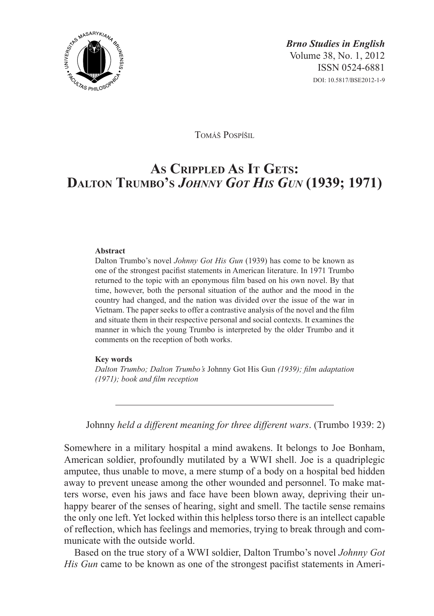

Tomáš Pospíšil.

# **As Crippled As It Gets: Dalton Trumbo's** *Johnny Got His Gun* **(1939; 1971)**

#### **Abstract**

Dalton Trumbo's novel *Johnny Got His Gun* (1939) has come to be known as one of the strongest pacifist statements in American literature. In 1971 Trumbo returned to the topic with an eponymous film based on his own novel. By that time, however, both the personal situation of the author and the mood in the country had changed, and the nation was divided over the issue of the war in Vietnam. The paper seeks to offer a contrastive analysis of the novel and the film and situate them in their respective personal and social contexts. It examines the manner in which the young Trumbo is interpreted by the older Trumbo and it comments on the reception of both works.

#### **Key words**

*Dalton Trumbo; Dalton Trumbo's* Johnny Got His Gun *(1939); film adaptation (1971); book and film reception*

Johnny *held a different meaning for three different wars*. (Trumbo 1939: 2)

Somewhere in a military hospital a mind awakens. It belongs to Joe Bonham, American soldier, profoundly mutilated by a WWI shell. Joe is a quadriplegic amputee, thus unable to move, a mere stump of a body on a hospital bed hidden away to prevent unease among the other wounded and personnel. To make matters worse, even his jaws and face have been blown away, depriving their unhappy bearer of the senses of hearing, sight and smell. The tactile sense remains the only one left. Yet locked within this helpless torso there is an intellect capable of reflection, which has feelings and memories, trying to break through and communicate with the outside world.

Based on the true story of a WWI soldier, Dalton Trumbo's novel *Johnny Got His Gun* came to be known as one of the strongest pacifist statements in Ameri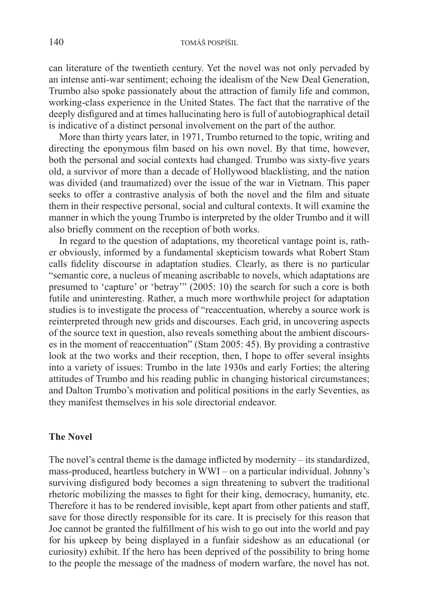can literature of the twentieth century. Yet the novel was not only pervaded by an intense anti-war sentiment; echoing the idealism of the New Deal Generation, Trumbo also spoke passionately about the attraction of family life and common, working-class experience in the United States. The fact that the narrative of the deeply disfigured and at times hallucinating hero is full of autobiographical detail is indicative of a distinct personal involvement on the part of the author.

More than thirty years later, in 1971, Trumbo returned to the topic, writing and directing the eponymous film based on his own novel. By that time, however, both the personal and social contexts had changed. Trumbo was sixty-five years old, a survivor of more than a decade of Hollywood blacklisting, and the nation was divided (and traumatized) over the issue of the war in Vietnam. This paper seeks to offer a contrastive analysis of both the novel and the film and situate them in their respective personal, social and cultural contexts. It will examine the manner in which the young Trumbo is interpreted by the older Trumbo and it will also briefly comment on the reception of both works.

In regard to the question of adaptations, my theoretical vantage point is, rather obviously, informed by a fundamental skepticism towards what Robert Stam calls fidelity discourse in adaptation studies. Clearly, as there is no particular "semantic core, a nucleus of meaning ascribable to novels, which adaptations are presumed to 'capture' or 'betray'" (2005: 10) the search for such a core is both futile and uninteresting. Rather, a much more worthwhile project for adaptation studies is to investigate the process of "reaccentuation, whereby a source work is reinterpreted through new grids and discourses. Each grid, in uncovering aspects of the source text in question, also reveals something about the ambient discourses in the moment of reaccentuation" (Stam 2005: 45). By providing a contrastive look at the two works and their reception, then, I hope to offer several insights into a variety of issues: Trumbo in the late 1930s and early Forties; the altering attitudes of Trumbo and his reading public in changing historical circumstances; and Dalton Trumbo's motivation and political positions in the early Seventies, as they manifest themselves in his sole directorial endeavor.

## **The Novel**

The novel's central theme is the damage inflicted by modernity – its standardized, mass-produced, heartless butchery in WWI – on a particular individual. Johnny's surviving disfigured body becomes a sign threatening to subvert the traditional rhetoric mobilizing the masses to fight for their king, democracy, humanity, etc. Therefore it has to be rendered invisible, kept apart from other patients and staff, save for those directly responsible for its care. It is precisely for this reason that Joe cannot be granted the fulfillment of his wish to go out into the world and pay for his upkeep by being displayed in a funfair sideshow as an educational (or curiosity) exhibit. If the hero has been deprived of the possibility to bring home to the people the message of the madness of modern warfare, the novel has not.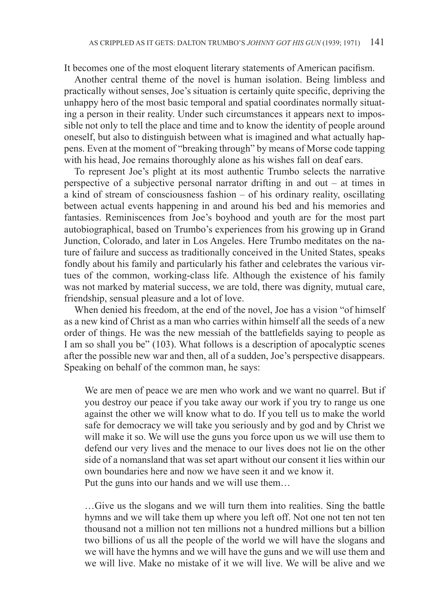It becomes one of the most eloquent literary statements of American pacifism.

Another central theme of the novel is human isolation. Being limbless and practically without senses, Joe's situation is certainly quite specific, depriving the unhappy hero of the most basic temporal and spatial coordinates normally situating a person in their reality. Under such circumstances it appears next to impossible not only to tell the place and time and to know the identity of people around oneself, but also to distinguish between what is imagined and what actually happens. Even at the moment of "breaking through" by means of Morse code tapping with his head, Joe remains thoroughly alone as his wishes fall on deaf ears.

To represent Joe's plight at its most authentic Trumbo selects the narrative perspective of a subjective personal narrator drifting in and out – at times in a kind of stream of consciousness fashion – of his ordinary reality, oscillating between actual events happening in and around his bed and his memories and fantasies. Reminiscences from Joe's boyhood and youth are for the most part autobiographical, based on Trumbo's experiences from his growing up in Grand Junction, Colorado, and later in Los Angeles. Here Trumbo meditates on the nature of failure and success as traditionally conceived in the United States, speaks fondly about his family and particularly his father and celebrates the various virtues of the common, working-class life. Although the existence of his family was not marked by material success, we are told, there was dignity, mutual care, friendship, sensual pleasure and a lot of love.

When denied his freedom, at the end of the novel, Joe has a vision "of himself as a new kind of Christ as a man who carries within himself all the seeds of a new order of things. He was the new messiah of the battlefields saying to people as I am so shall you be" (103). What follows is a description of apocalyptic scenes after the possible new war and then, all of a sudden, Joe's perspective disappears. Speaking on behalf of the common man, he says:

We are men of peace we are men who work and we want no quarrel. But if you destroy our peace if you take away our work if you try to range us one against the other we will know what to do. If you tell us to make the world safe for democracy we will take you seriously and by god and by Christ we will make it so. We will use the guns you force upon us we will use them to defend our very lives and the menace to our lives does not lie on the other side of a nomansland that was set apart without our consent it lies within our own boundaries here and now we have seen it and we know it. Put the guns into our hands and we will use them…

…Give us the slogans and we will turn them into realities. Sing the battle hymns and we will take them up where you left off. Not one not ten not ten thousand not a million not ten millions not a hundred millions but a billion two billions of us all the people of the world we will have the slogans and we will have the hymns and we will have the guns and we will use them and we will live. Make no mistake of it we will live. We will be alive and we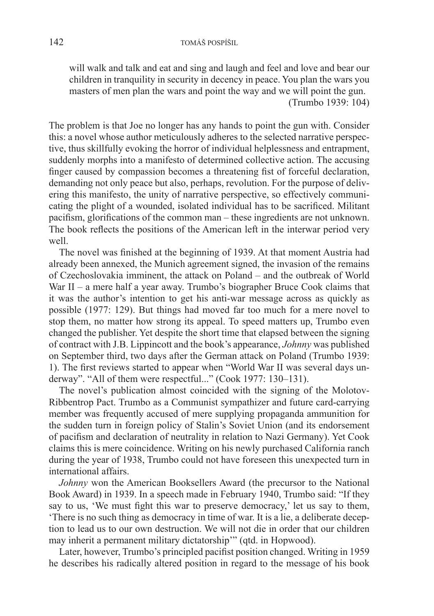will walk and talk and eat and sing and laugh and feel and love and bear our children in tranquility in security in decency in peace. You plan the wars you masters of men plan the wars and point the way and we will point the gun. (Trumbo 1939: 104)

The problem is that Joe no longer has any hands to point the gun with. Consider this: a novel whose author meticulously adheres to the selected narrative perspective, thus skillfully evoking the horror of individual helplessness and entrapment, suddenly morphs into a manifesto of determined collective action. The accusing finger caused by compassion becomes a threatening fist of forceful declaration, demanding not only peace but also, perhaps, revolution. For the purpose of delivering this manifesto, the unity of narrative perspective, so effectively communicating the plight of a wounded, isolated individual has to be sacrificed. Militant pacifism, glorifications of the common man – these ingredients are not unknown. The book reflects the positions of the American left in the interwar period very well.

The novel was finished at the beginning of 1939. At that moment Austria had already been annexed, the Munich agreement signed, the invasion of the remains of Czechoslovakia imminent, the attack on Poland – and the outbreak of World War II – a mere half a year away. Trumbo's biographer Bruce Cook claims that it was the author's intention to get his anti-war message across as quickly as possible (1977: 129). But things had moved far too much for a mere novel to stop them, no matter how strong its appeal. To speed matters up, Trumbo even changed the publisher. Yet despite the short time that elapsed between the signing of contract with J.B. Lippincott and the book's appearance, *Johnny* was published on September third, two days after the German attack on Poland (Trumbo 1939: 1). The first reviews started to appear when "World War II was several days underway". "All of them were respectful..." (Cook 1977: 130–131).

The novel's publication almost coincided with the signing of the Molotov-Ribbentrop Pact. Trumbo as a Communist sympathizer and future card-carrying member was frequently accused of mere supplying propaganda ammunition for the sudden turn in foreign policy of Stalin's Soviet Union (and its endorsement of pacifism and declaration of neutrality in relation to Nazi Germany). Yet Cook claims this is mere coincidence. Writing on his newly purchased California ranch during the year of 1938, Trumbo could not have foreseen this unexpected turn in international affairs.

*Johnny* won the American Booksellers Award (the precursor to the National Book Award) in 1939. In a speech made in February 1940, Trumbo said: "If they say to us, 'We must fight this war to preserve democracy,' let us say to them, 'There is no such thing as democracy in time of war. It is a lie, a deliberate deception to lead us to our own destruction. We will not die in order that our children may inherit a permanent military dictatorship'" (qtd. in Hopwood).

Later, however, Trumbo's principled pacifist position changed. Writing in 1959 he describes his radically altered position in regard to the message of his book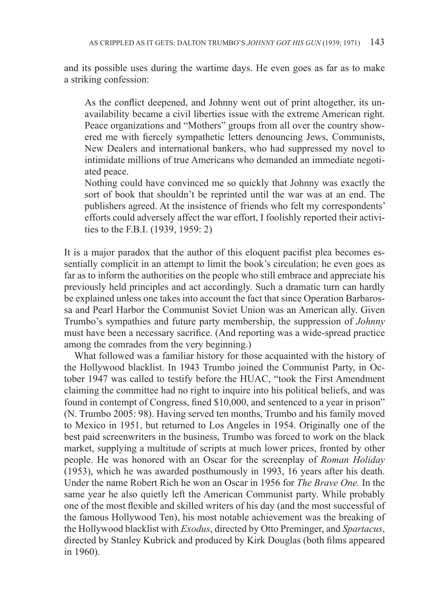and its possible uses during the wartime days. He even goes as far as to make a striking confession:

As the conflict deepened, and Johnny went out of print altogether, its unavailability became a civil liberties issue with the extreme American right. Peace organizations and "Mothers" groups from all over the country showered me with fiercely sympathetic letters denouncing Jews, Communists, New Dealers and international bankers, who had suppressed my novel to intimidate millions of true Americans who demanded an immediate negotiated peace.

Nothing could have convinced me so quickly that Johnny was exactly the sort of book that shouldn't be reprinted until the war was at an end. The publishers agreed. At the insistence of friends who felt my correspondents' efforts could adversely affect the war effort, I foolishly reported their activities to the F.B.I. (1939, 1959: 2)

It is a major paradox that the author of this eloquent pacifist plea becomes essentially complicit in an attempt to limit the book's circulation; he even goes as far as to inform the authorities on the people who still embrace and appreciate his previously held principles and act accordingly. Such a dramatic turn can hardly be explained unless one takes into account the fact that since Operation Barbarossa and Pearl Harbor the Communist Soviet Union was an American ally. Given Trumbo's sympathies and future party membership, the suppression of *Johnny* must have been a necessary sacrifice. (And reporting was a wide-spread practice among the comrades from the very beginning.)

What followed was a familiar history for those acquainted with the history of the Hollywood blacklist. In 1943 Trumbo joined the Communist Party, in October 1947 was called to testify before the HUAC, "took the First Amendment claiming the committee had no right to inquire into his political beliefs, and was found in contempt of Congress, fined \$10,000, and sentenced to a year in prison" (N. Trumbo 2005: 98). Having served ten months, Trumbo and his family moved to Mexico in 1951, but returned to Los Angeles in 1954. Originally one of the best paid screenwriters in the business, Trumbo was forced to work on the black market, supplying a multitude of scripts at much lower prices, fronted by other people. He was honored with an Oscar for the screenplay of *Roman Holiday* (1953), which he was awarded posthumously in 1993, 16 years after his death. Under the name Robert Rich he won an Oscar in 1956 for *The Brave One.* In the same year he also quietly left the American Communist party. While probably one of the most flexible and skilled writers of his day (and the most successful of the famous Hollywood Ten), his most notable achievement was the breaking of the Hollywood blacklist with *Exodus*, directed by Otto Preminger, and *Spartacus*, directed by Stanley Kubrick and produced by Kirk Douglas (both films appeared in 1960).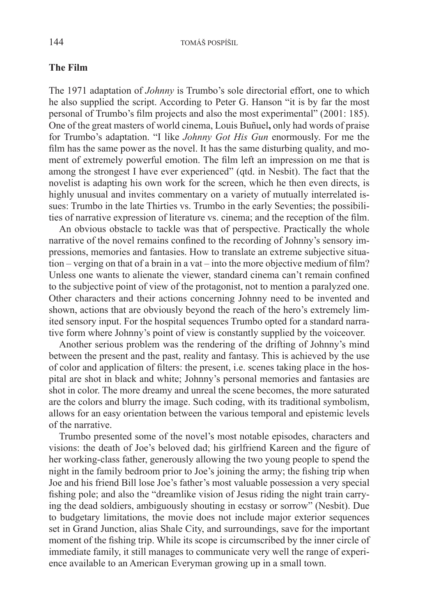# **The Film**

The 1971 adaptation of *Johnny* is Trumbo's sole directorial effort, one to which he also supplied the script. According to Peter G. Hanson "it is by far the most personal of Trumbo's film projects and also the most experimental" (2001: 185). One of the great masters of world cinema, Louis Buñuel**,** only had words of praise for Trumbo's adaptation. "I like *Johnny Got His Gun* enormously. For me the film has the same power as the novel. It has the same disturbing quality, and moment of extremely powerful emotion. The film left an impression on me that is among the strongest I have ever experienced" (qtd. in Nesbit). The fact that the novelist is adapting his own work for the screen, which he then even directs, is highly unusual and invites commentary on a variety of mutually interrelated issues: Trumbo in the late Thirties vs. Trumbo in the early Seventies; the possibilities of narrative expression of literature vs. cinema; and the reception of the film.

An obvious obstacle to tackle was that of perspective. Practically the whole narrative of the novel remains confined to the recording of Johnny's sensory impressions, memories and fantasies. How to translate an extreme subjective situation – verging on that of a brain in a vat – into the more objective medium of film? Unless one wants to alienate the viewer, standard cinema can't remain confined to the subjective point of view of the protagonist, not to mention a paralyzed one. Other characters and their actions concerning Johnny need to be invented and shown, actions that are obviously beyond the reach of the hero's extremely limited sensory input. For the hospital sequences Trumbo opted for a standard narrative form where Johnny's point of view is constantly supplied by the voiceover.

Another serious problem was the rendering of the drifting of Johnny's mind between the present and the past, reality and fantasy. This is achieved by the use of color and application of filters: the present, i.e. scenes taking place in the hospital are shot in black and white; Johnny's personal memories and fantasies are shot in color. The more dreamy and unreal the scene becomes, the more saturated are the colors and blurry the image. Such coding, with its traditional symbolism, allows for an easy orientation between the various temporal and epistemic levels of the narrative.

Trumbo presented some of the novel's most notable episodes, characters and visions: the death of Joe's beloved dad; his girlfriend Kareen and the figure of her working-class father, generously allowing the two young people to spend the night in the family bedroom prior to Joe's joining the army; the fishing trip when Joe and his friend Bill lose Joe's father's most valuable possession a very special fishing pole; and also the "dreamlike vision of Jesus riding the night train carrying the dead soldiers, ambiguously shouting in ecstasy or sorrow" (Nesbit). Due to budgetary limitations, the movie does not include major exterior sequences set in Grand Junction, alias Shale City, and surroundings, save for the important moment of the fishing trip. While its scope is circumscribed by the inner circle of immediate family, it still manages to communicate very well the range of experience available to an American Everyman growing up in a small town.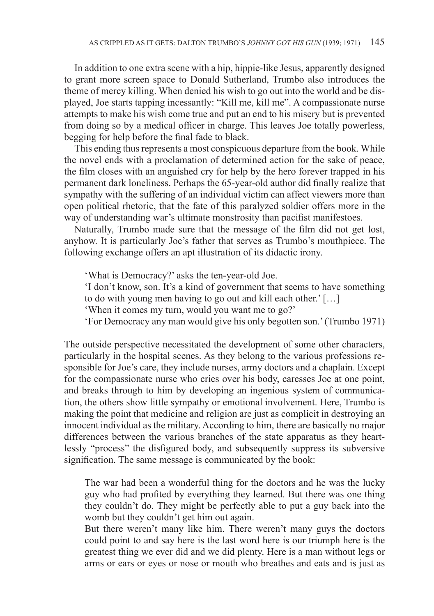In addition to one extra scene with a hip, hippie-like Jesus, apparently designed to grant more screen space to Donald Sutherland, Trumbo also introduces the theme of mercy killing. When denied his wish to go out into the world and be displayed, Joe starts tapping incessantly: "Kill me, kill me". A compassionate nurse attempts to make his wish come true and put an end to his misery but is prevented from doing so by a medical officer in charge. This leaves Joe totally powerless, begging for help before the final fade to black.

This ending thus represents a most conspicuous departure from the book. While the novel ends with a proclamation of determined action for the sake of peace, the film closes with an anguished cry for help by the hero forever trapped in his permanent dark loneliness. Perhaps the 65-year-old author did finally realize that sympathy with the suffering of an individual victim can affect viewers more than open political rhetoric, that the fate of this paralyzed soldier offers more in the way of understanding war's ultimate monstrosity than pacifist manifestoes.

Naturally, Trumbo made sure that the message of the film did not get lost, anyhow. It is particularly Joe's father that serves as Trumbo's mouthpiece. The following exchange offers an apt illustration of its didactic irony.

'What is Democracy?' asks the ten-year-old Joe.

'I don't know, son. It's a kind of government that seems to have something

to do with young men having to go out and kill each other.' […]

'When it comes my turn, would you want me to go?'

'For Democracy any man would give his only begotten son.' (Trumbo 1971)

The outside perspective necessitated the development of some other characters, particularly in the hospital scenes. As they belong to the various professions responsible for Joe's care, they include nurses, army doctors and a chaplain. Except for the compassionate nurse who cries over his body, caresses Joe at one point, and breaks through to him by developing an ingenious system of communication, the others show little sympathy or emotional involvement. Here, Trumbo is making the point that medicine and religion are just as complicit in destroying an innocent individual as the military. According to him, there are basically no major differences between the various branches of the state apparatus as they heartlessly "process" the disfigured body, and subsequently suppress its subversive signification. The same message is communicated by the book:

The war had been a wonderful thing for the doctors and he was the lucky guy who had profited by everything they learned. But there was one thing they couldn't do. They might be perfectly able to put a guy back into the womb but they couldn't get him out again.

But there weren't many like him. There weren't many guys the doctors could point to and say here is the last word here is our triumph here is the greatest thing we ever did and we did plenty. Here is a man without legs or arms or ears or eyes or nose or mouth who breathes and eats and is just as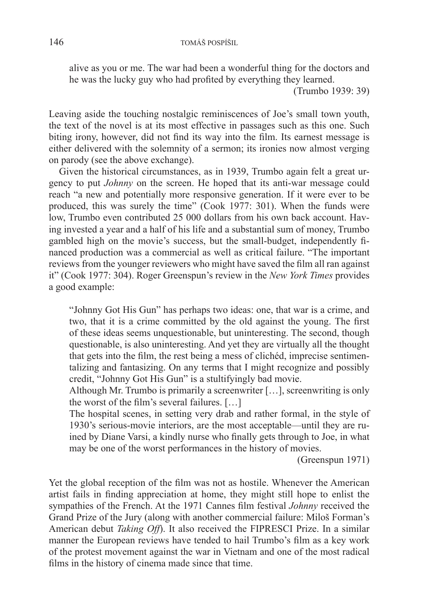alive as you or me. The war had been a wonderful thing for the doctors and he was the lucky guy who had profited by everything they learned.

(Trumbo 1939: 39)

Leaving aside the touching nostalgic reminiscences of Joe's small town youth, the text of the novel is at its most effective in passages such as this one. Such biting irony, however, did not find its way into the film. Its earnest message is either delivered with the solemnity of a sermon; its ironies now almost verging on parody (see the above exchange).

Given the historical circumstances, as in 1939, Trumbo again felt a great urgency to put *Johnny* on the screen. He hoped that its anti-war message could reach "a new and potentially more responsive generation. If it were ever to be produced, this was surely the time" (Cook 1977: 301). When the funds were low, Trumbo even contributed 25 000 dollars from his own back account. Having invested a year and a half of his life and a substantial sum of money, Trumbo gambled high on the movie's success, but the small-budget, independently financed production was a commercial as well as critical failure. "The important reviews from the younger reviewers who might have saved the film all ran against it" (Cook 1977: 304). Roger Greenspun's review in the *New York Times* provides a good example:

"Johnny Got His Gun" has perhaps two ideas: one, that war is a crime, and two, that it is a crime committed by the old against the young. The first of these ideas seems unquestionable, but uninteresting. The second, though questionable, is also uninteresting. And yet they are virtually all the thought that gets into the film, the rest being a mess of clichéd, imprecise sentimentalizing and fantasizing. On any terms that I might recognize and possibly credit, "Johnny Got His Gun" is a stultifyingly bad movie.

Although Mr. Trumbo is primarily a screenwriter […], screenwriting is only the worst of the film's several failures. […]

The hospital scenes, in setting very drab and rather formal, in the style of 1930's serious-movie interiors, are the most acceptable—until they are ruined by Diane Varsi, a kindly nurse who finally gets through to Joe, in what may be one of the worst performances in the history of movies.

(Greenspun 1971)

Yet the global reception of the film was not as hostile. Whenever the American artist fails in finding appreciation at home, they might still hope to enlist the sympathies of the French. At the 1971 Cannes film festival *Johnny* received the Grand Prize of the Jury (along with another commercial failure: Miloš Forman's American debut *Taking Off*). It also received the FIPRESCI Prize. In a similar manner the European reviews have tended to hail Trumbo's film as a key work of the protest movement against the war in Vietnam and one of the most radical films in the history of cinema made since that time.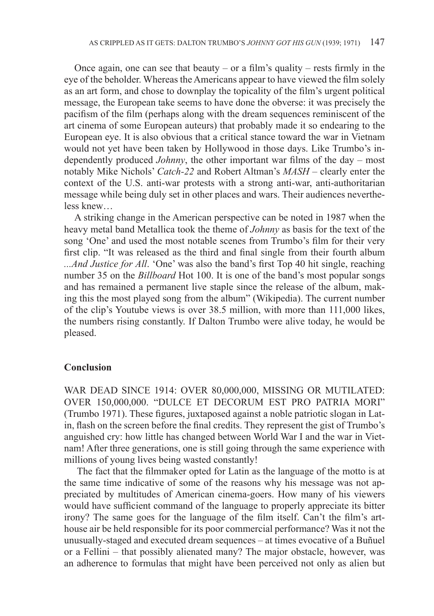Once again, one can see that beauty – or a film's quality – rests firmly in the eye of the beholder. Whereas the Americans appear to have viewed the film solely as an art form, and chose to downplay the topicality of the film's urgent political message, the European take seems to have done the obverse: it was precisely the pacifism of the film (perhaps along with the dream sequences reminiscent of the art cinema of some European auteurs) that probably made it so endearing to the European eye. It is also obvious that a critical stance toward the war in Vietnam would not yet have been taken by Hollywood in those days. Like Trumbo's independently produced *Johnny*, the other important war films of the day – most notably Mike Nichols' *Catch-22* and Robert Altman's *MASH* – clearly enter the context of the U.S. anti-war protests with a strong anti-war, anti-authoritarian message while being duly set in other places and wars. Their audiences nevertheless knew…

A striking change in the American perspective can be noted in 1987 when the heavy metal band Metallica took the theme of *Johnny* as basis for the text of the song 'One' and used the most notable scenes from Trumbo's film for their very first clip. "It was released as the third and final single from their fourth album *...And Justice for All*. 'One' was also the band's first Top 40 hit single, reaching number 35 on the *Billboard* Hot 100. It is one of the band's most popular songs and has remained a permanent live staple since the release of the album, making this the most played song from the album" (Wikipedia). The current number of the clip's Youtube views is over 38.5 million, with more than 111,000 likes, the numbers rising constantly. If Dalton Trumbo were alive today, he would be pleased.

#### **Conclusion**

WAR DEAD SINCE 1914: OVER 80,000,000, MISSING OR MUTILATED: OVER 150,000,000. "DULCE ET DECORUM EST PRO PATRIA MORI" (Trumbo 1971). These figures, juxtaposed against a noble patriotic slogan in Latin, flash on the screen before the final credits. They represent the gist of Trumbo's anguished cry: how little has changed between World War I and the war in Vietnam! After three generations, one is still going through the same experience with millions of young lives being wasted constantly!

 The fact that the filmmaker opted for Latin as the language of the motto is at the same time indicative of some of the reasons why his message was not appreciated by multitudes of American cinema-goers. How many of his viewers would have sufficient command of the language to properly appreciate its bitter irony? The same goes for the language of the film itself. Can't the film's arthouse air be held responsible for its poor commercial performance? Was it not the unusually-staged and executed dream sequences – at times evocative of a Buñuel or a Fellini – that possibly alienated many? The major obstacle, however, was an adherence to formulas that might have been perceived not only as alien but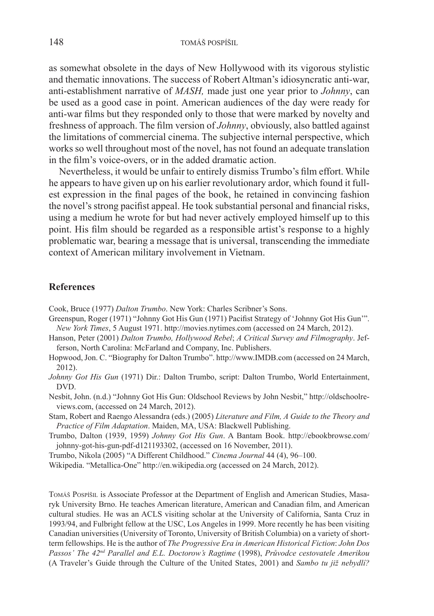as somewhat obsolete in the days of New Hollywood with its vigorous stylistic and thematic innovations. The success of Robert Altman's idiosyncratic anti-war, anti-establishment narrative of *MASH,* made just one year prior to *Johnny*, can be used as a good case in point. American audiences of the day were ready for anti-war films but they responded only to those that were marked by novelty and freshness of approach. The film version of *Johnny*, obviously, also battled against the limitations of commercial cinema. The subjective internal perspective, which works so well throughout most of the novel, has not found an adequate translation in the film's voice-overs, or in the added dramatic action.

Nevertheless, it would be unfair to entirely dismiss Trumbo's film effort. While he appears to have given up on his earlier revolutionary ardor, which found it fullest expression in the final pages of the book, he retained in convincing fashion the novel's strong pacifist appeal. He took substantial personal and financial risks, using a medium he wrote for but had never actively employed himself up to this point. His film should be regarded as a responsible artist's response to a highly problematic war, bearing a message that is universal, transcending the immediate context of American military involvement in Vietnam.

# **References**

Cook, Bruce (1977) *Dalton Trumbo*. New York: Charles Scribner's Sons.

- Greenspun, Roger (1971) "Johnny Got His Gun (1971) Pacifist Strategy of 'Johnny Got His Gun'". *New York Times*, 5 August 1971. http://movies.nytimes.com (accessed on 24 March, 2012).
- Hanson, Peter (2001) *Dalton Trumbo, Hollywood Rebel*; *A Critical Survey and Filmography*. Jefferson, North Carolina: McFarland and Company, Inc. Publishers.
- Hopwood, Jon. C. "Biography for Dalton Trumbo". http://www.IMDB.com (accessed on 24 March, 2012).
- *Johnny Got His Gun* (1971) Dir.: Dalton Trumbo, script: Dalton Trumbo, World Entertainment, DVD.
- Nesbit, John. (n.d.) "Johnny Got His Gun: Oldschool Reviews by John Nesbit," http://oldschoolreviews.com, (accessed on 24 March, 2012).
- Stam, Robert and Raengo Alessandra (eds.) (2005) *Literature and Film, A Guide to the Theory and Practice of Film Adaptation*. Maiden, MA, USA: Blackwell Publishing.
- Trumbo, Dalton (1939, 1959) *Johnny Got His Gun*. A Bantam Book. http://ebookbrowse.com/ johnny-got-his-gun-pdf-d121193302, (accessed on 16 November, 2011).

Trumbo, Nikola (2005) "A Different Childhood." *Cinema Journal* 44 (4), 96–100.

Wikipedia. "Metallica-One" http://en.wikipedia.org (accessed on 24 March, 2012).

Tomáš Pospíšil is Associate Professor at the Department of English and American Studies, Masaryk University Brno. He teaches American literature, American and Canadian film, and American cultural studies. He was an ACLS visiting scholar at the University of California, Santa Cruz in 1993/94, and Fulbright fellow at the USC, Los Angeles in 1999. More recently he has been visiting Canadian universities (University of Toronto, University of British Columbia) on a variety of shortterm fellowships. He is the author of *The Progressive Era in American Historical Fiction*: *John Dos Passos' The 42nd Parallel and E.L. Doctorow's Ragtime* (1998), *Průvodce cestovatele Amerikou* (A Traveler's Guide through the Culture of the United States, 2001) and *Sambo tu již nebydlí?*